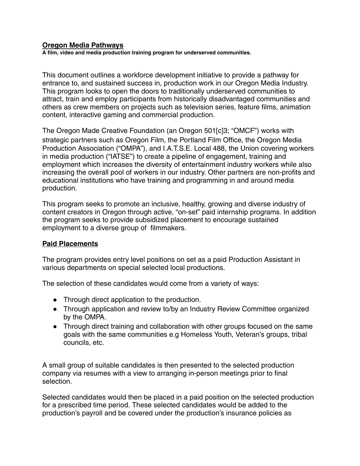## **Oregon Media Pathways**

**A film, video and media production training program for underserved communities.**

This document outlines a workforce development initiative to provide a pathway for entrance to, and sustained success in, production work in our Oregon Media Industry. This program looks to open the doors to traditionally underserved communities to attract, train and employ participants from historically disadvantaged communities and others as crew members on projects such as television series, feature films, animation content, interactive gaming and commercial production.

The Oregon Made Creative Foundation (an Oregon 501[c]3; "OMCF") works with strategic partners such as Oregon Film, the Portland Film Office, the Oregon Media Production Association ("OMPA"), and I.A.T.S.E. Local 488, the Union covering workers in media production ("IATSE") to create a pipeline of engagement, training and employment which increases the diversity of entertainment industry workers while also increasing the overall pool of workers in our industry. Other partners are non-profits and educational institutions who have training and programming in and around media production.

This program seeks to promote an inclusive, healthy, growing and diverse industry of content creators in Oregon through active, "on-set" paid internship programs. In addition the program seeks to provide subsidized placement to encourage sustained employment to a diverse group of filmmakers.

## **Paid Placements**

The program provides entry level positions on set as a paid Production Assistant in various departments on special selected local productions.

The selection of these candidates would come from a variety of ways:

- Through direct application to the production.
- Through application and review to/by an Industry Review Committee organized by the OMPA.
- Through direct training and collaboration with other groups focused on the same goals with the same communities e.g Homeless Youth, Veteran's groups, tribal councils, etc.

A small group of suitable candidates is then presented to the selected production company via resumes with a view to arranging in-person meetings prior to final selection.

Selected candidates would then be placed in a paid position on the selected production for a prescribed time period. These selected candidates would be added to the production's payroll and be covered under the production's insurance policies as